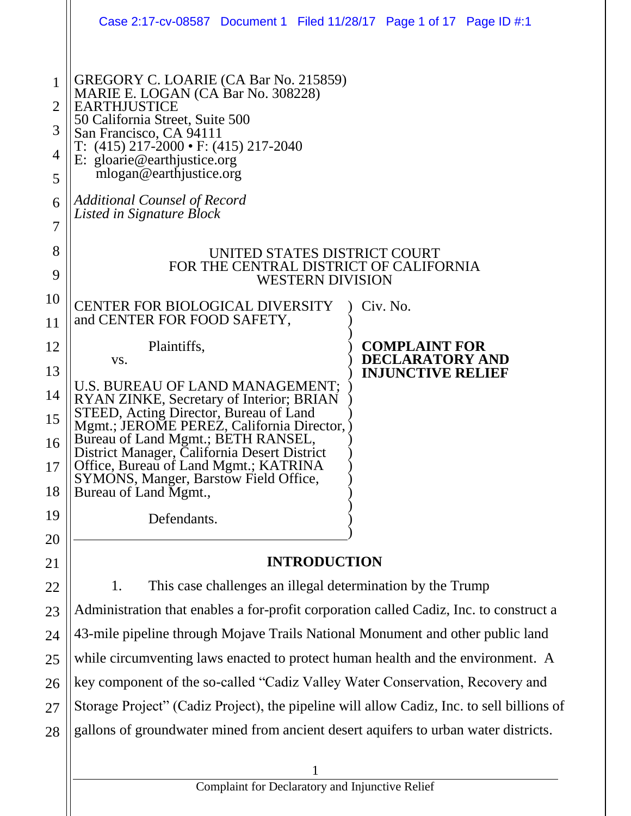|                                                      | Case 2:17-cv-08587 Document 1 Filed 11/28/17 Page 1 of 17 Page ID #:1                                                                                                                                                                                                                                                                                                                                                                                  |                                                |  |  |
|------------------------------------------------------|--------------------------------------------------------------------------------------------------------------------------------------------------------------------------------------------------------------------------------------------------------------------------------------------------------------------------------------------------------------------------------------------------------------------------------------------------------|------------------------------------------------|--|--|
| $\mathbf{1}$<br>2<br>3<br>4<br>5<br>6<br>7<br>8<br>9 | GREGORY C. LOARIE (CA Bar No. 215859)<br>MARIE E. LOGAN (CA Bar No. 308228)<br><b>EARTHJUSTICE</b><br>50 California Street, Suite 500<br>San Francisco, CA 94111<br>$T: (415) 217 - 2000 \cdot F: (415) 217 - 2040$<br>E: gloarie@earthjustice.org<br>mlogan@earthjustice.org<br><b>Additional Counsel of Record</b><br>Listed in Signature Block<br>UNITED STATES DISTRICT COURT<br>FOR THE CENTRAL DISTRICT OF CALIFORNIA<br><b>WESTERN DIVISION</b> |                                                |  |  |
| 10<br>11                                             | <b>CENTER FOR BIOLOGICAL DIVERSITY</b><br>and CENTER FOR FOOD SAFETY,                                                                                                                                                                                                                                                                                                                                                                                  | Civ. No.                                       |  |  |
| 12                                                   | Plaintiffs,<br>VS.                                                                                                                                                                                                                                                                                                                                                                                                                                     | <b>COMPLAINT FOR</b><br><b>DECLARATORY AND</b> |  |  |
| 13<br>14<br>15<br>16<br>17<br>18<br>19<br>20         | U.S. BUREAU OF LAND MANAGEMENT;<br>RYAN ZINKE, Secretary of Interior; BRIAN<br>STEED, Acting Director, Bureau of Land<br>Mgmt.; JEROME PEREZ, California Director,<br>Bureau of Land Mgmt.; BETH RANSEL,<br>District Manager, California Desert District<br>Office, Bureau of Land Mgmt.; KATRINA<br>SYMONS, Manger, Barstow Field Office,<br>Bureau of Land Mgmt.,<br>Defendants.                                                                     | <b>INJUNCTIVE RELIEF</b>                       |  |  |
| 21                                                   | <b>INTRODUCTION</b>                                                                                                                                                                                                                                                                                                                                                                                                                                    |                                                |  |  |
| 22                                                   | This case challenges an illegal determination by the Trump<br>1.                                                                                                                                                                                                                                                                                                                                                                                       |                                                |  |  |
| 23                                                   | Administration that enables a for-profit corporation called Cadiz, Inc. to construct a                                                                                                                                                                                                                                                                                                                                                                 |                                                |  |  |
| 24                                                   | 43-mile pipeline through Mojave Trails National Monument and other public land                                                                                                                                                                                                                                                                                                                                                                         |                                                |  |  |
| 25                                                   | while circumventing laws enacted to protect human health and the environment. A                                                                                                                                                                                                                                                                                                                                                                        |                                                |  |  |
| 26                                                   | key component of the so-called "Cadiz Valley Water Conservation, Recovery and                                                                                                                                                                                                                                                                                                                                                                          |                                                |  |  |
| 27<br>28                                             | Storage Project" (Cadiz Project), the pipeline will allow Cadiz, Inc. to sell billions of<br>gallons of groundwater mined from ancient desert aquifers to urban water districts.                                                                                                                                                                                                                                                                       |                                                |  |  |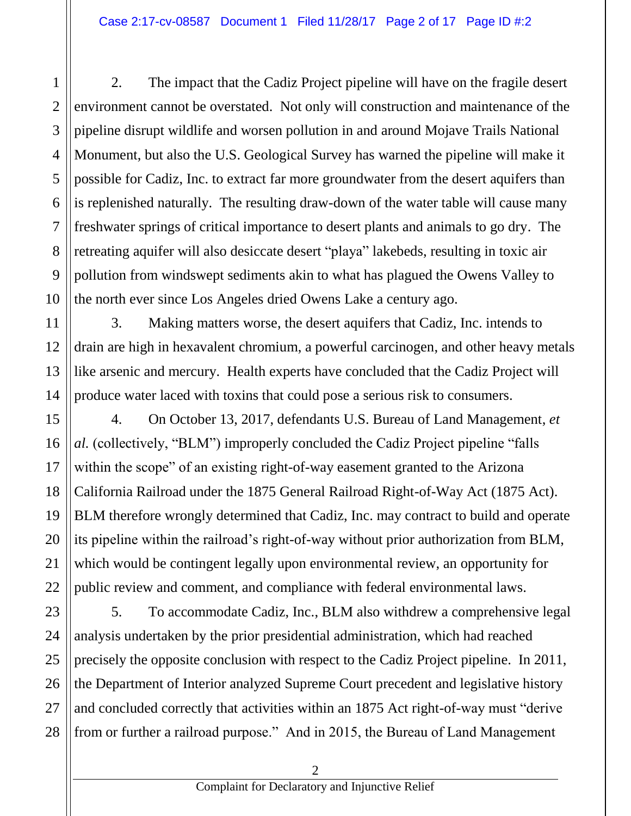2. The impact that the Cadiz Project pipeline will have on the fragile desert environment cannot be overstated. Not only will construction and maintenance of the pipeline disrupt wildlife and worsen pollution in and around Mojave Trails National Monument, but also the U.S. Geological Survey has warned the pipeline will make it possible for Cadiz, Inc. to extract far more groundwater from the desert aquifers than is replenished naturally. The resulting draw-down of the water table will cause many freshwater springs of critical importance to desert plants and animals to go dry. The retreating aquifer will also desiccate desert "playa" lakebeds, resulting in toxic air pollution from windswept sediments akin to what has plagued the Owens Valley to the north ever since Los Angeles dried Owens Lake a century ago.

3. Making matters worse, the desert aquifers that Cadiz, Inc. intends to drain are high in hexavalent chromium, a powerful carcinogen, and other heavy metals like arsenic and mercury. Health experts have concluded that the Cadiz Project will produce water laced with toxins that could pose a serious risk to consumers.

4. On October 13, 2017, defendants U.S. Bureau of Land Management, *et al.* (collectively, "BLM") improperly concluded the Cadiz Project pipeline "falls within the scope" of an existing right-of-way easement granted to the Arizona California Railroad under the 1875 General Railroad Right-of-Way Act (1875 Act). BLM therefore wrongly determined that Cadiz, Inc. may contract to build and operate its pipeline within the railroad's right-of-way without prior authorization from BLM, which would be contingent legally upon environmental review, an opportunity for public review and comment, and compliance with federal environmental laws.

5. To accommodate Cadiz, Inc., BLM also withdrew a comprehensive legal analysis undertaken by the prior presidential administration, which had reached precisely the opposite conclusion with respect to the Cadiz Project pipeline. In 2011, the Department of Interior analyzed Supreme Court precedent and legislative history and concluded correctly that activities within an 1875 Act right-of-way must "derive from or further a railroad purpose." And in 2015, the Bureau of Land Management

2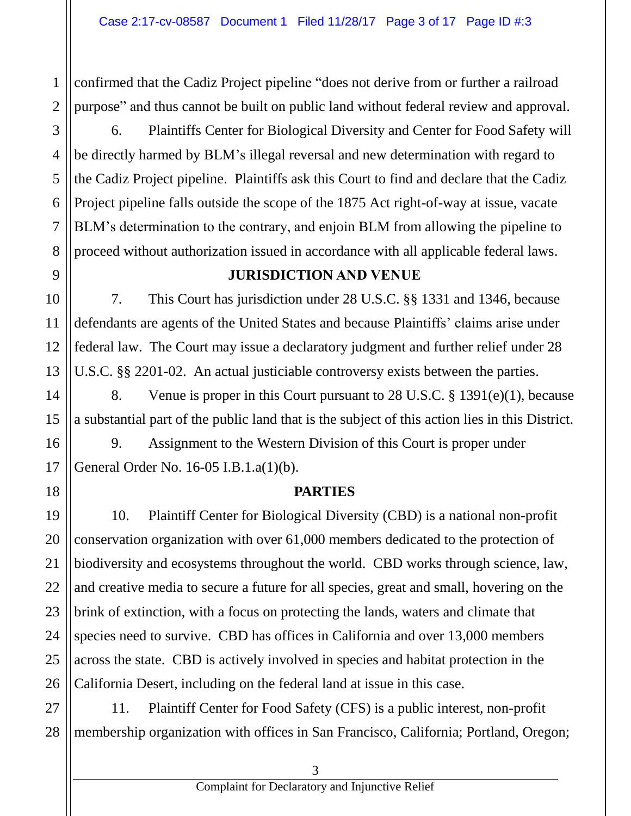confirmed that the Cadiz Project pipeline "does not derive from or further a railroad purpose" and thus cannot be built on public land without federal review and approval.

6. Plaintiffs Center for Biological Diversity and Center for Food Safety will be directly harmed by BLM's illegal reversal and new determination with regard to the Cadiz Project pipeline. Plaintiffs ask this Court to find and declare that the Cadiz Project pipeline falls outside the scope of the 1875 Act right-of-way at issue, vacate BLM's determination to the contrary, and enjoin BLM from allowing the pipeline to proceed without authorization issued in accordance with all applicable federal laws.

# **JURISDICTION AND VENUE**

7. This Court has jurisdiction under 28 U.S.C. §§ 1331 and 1346, because defendants are agents of the United States and because Plaintiffs' claims arise under federal law. The Court may issue a declaratory judgment and further relief under 28 U.S.C. §§ 2201-02. An actual justiciable controversy exists between the parties.

8. Venue is proper in this Court pursuant to 28 U.S.C. § 1391(e)(1), because a substantial part of the public land that is the subject of this action lies in this District.

9. Assignment to the Western Division of this Court is proper under General Order No. 16-05 I.B.1.a(1)(b).

# **PARTIES**

10. Plaintiff Center for Biological Diversity (CBD) is a national non-profit conservation organization with over 61,000 members dedicated to the protection of biodiversity and ecosystems throughout the world. CBD works through science, law, and creative media to secure a future for all species, great and small, hovering on the brink of extinction, with a focus on protecting the lands, waters and climate that species need to survive. CBD has offices in California and over 13,000 members across the state. CBD is actively involved in species and habitat protection in the California Desert, including on the federal land at issue in this case.

11. Plaintiff Center for Food Safety (CFS) is a public interest, non-profit membership organization with offices in San Francisco, California; Portland, Oregon;

1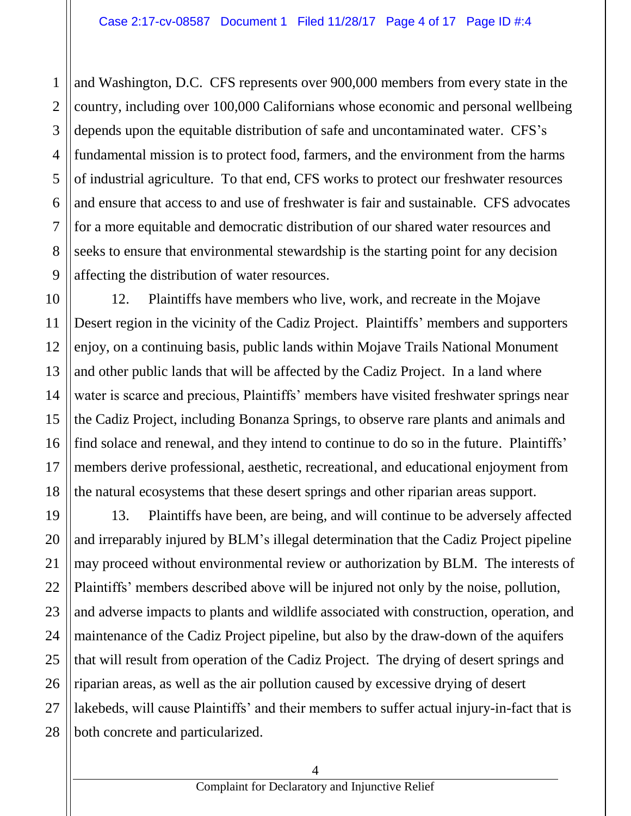1

2

3

5

6

7

8

11

4 9 and Washington, D.C. CFS represents over 900,000 members from every state in the country, including over 100,000 Californians whose economic and personal wellbeing depends upon the equitable distribution of safe and uncontaminated water. CFS's fundamental mission is to protect food, farmers, and the environment from the harms of industrial agriculture. To that end, CFS works to protect our freshwater resources and ensure that access to and use of freshwater is fair and sustainable. CFS advocates for a more equitable and democratic distribution of our shared water resources and seeks to ensure that environmental stewardship is the starting point for any decision affecting the distribution of water resources.

10 12 13 14 15 16 17 18 12. Plaintiffs have members who live, work, and recreate in the Mojave Desert region in the vicinity of the Cadiz Project. Plaintiffs' members and supporters enjoy, on a continuing basis, public lands within Mojave Trails National Monument and other public lands that will be affected by the Cadiz Project. In a land where water is scarce and precious, Plaintiffs' members have visited freshwater springs near the Cadiz Project, including Bonanza Springs, to observe rare plants and animals and find solace and renewal, and they intend to continue to do so in the future. Plaintiffs' members derive professional, aesthetic, recreational, and educational enjoyment from the natural ecosystems that these desert springs and other riparian areas support.

19 20 21 22 23 24 25 26 27 28 13. Plaintiffs have been, are being, and will continue to be adversely affected and irreparably injured by BLM's illegal determination that the Cadiz Project pipeline may proceed without environmental review or authorization by BLM. The interests of Plaintiffs' members described above will be injured not only by the noise, pollution, and adverse impacts to plants and wildlife associated with construction, operation, and maintenance of the Cadiz Project pipeline, but also by the draw-down of the aquifers that will result from operation of the Cadiz Project. The drying of desert springs and riparian areas, as well as the air pollution caused by excessive drying of desert lakebeds, will cause Plaintiffs' and their members to suffer actual injury-in-fact that is both concrete and particularized.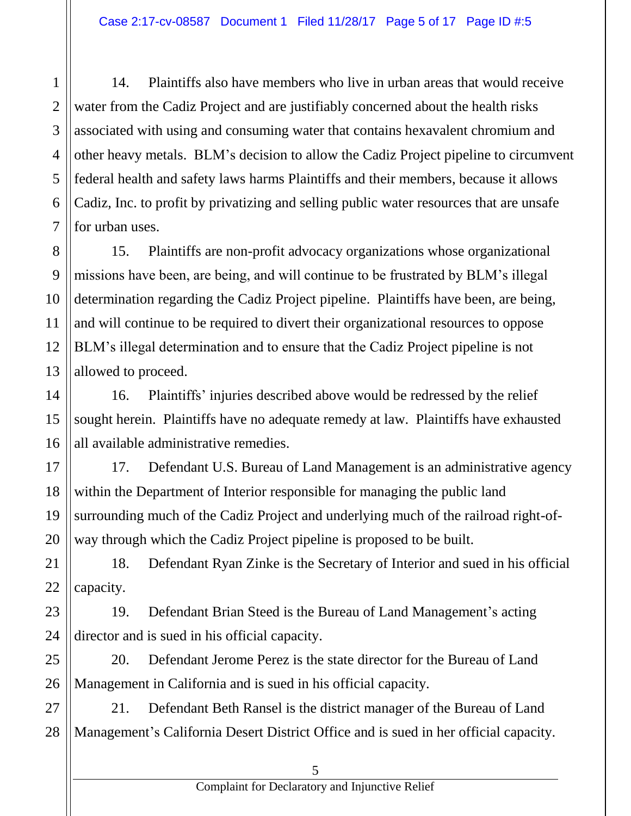14. Plaintiffs also have members who live in urban areas that would receive water from the Cadiz Project and are justifiably concerned about the health risks associated with using and consuming water that contains hexavalent chromium and other heavy metals. BLM's decision to allow the Cadiz Project pipeline to circumvent federal health and safety laws harms Plaintiffs and their members, because it allows Cadiz, Inc. to profit by privatizing and selling public water resources that are unsafe for urban uses.

15. Plaintiffs are non-profit advocacy organizations whose organizational missions have been, are being, and will continue to be frustrated by BLM's illegal determination regarding the Cadiz Project pipeline. Plaintiffs have been, are being, and will continue to be required to divert their organizational resources to oppose BLM's illegal determination and to ensure that the Cadiz Project pipeline is not allowed to proceed.

16. Plaintiffs' injuries described above would be redressed by the relief sought herein. Plaintiffs have no adequate remedy at law. Plaintiffs have exhausted all available administrative remedies.

17. Defendant U.S. Bureau of Land Management is an administrative agency within the Department of Interior responsible for managing the public land surrounding much of the Cadiz Project and underlying much of the railroad right-ofway through which the Cadiz Project pipeline is proposed to be built.

18. Defendant Ryan Zinke is the Secretary of Interior and sued in his official capacity.

19. Defendant Brian Steed is the Bureau of Land Management's acting director and is sued in his official capacity.

20. Defendant Jerome Perez is the state director for the Bureau of Land Management in California and is sued in his official capacity.

21. Defendant Beth Ransel is the district manager of the Bureau of Land Management's California Desert District Office and is sued in her official capacity.

1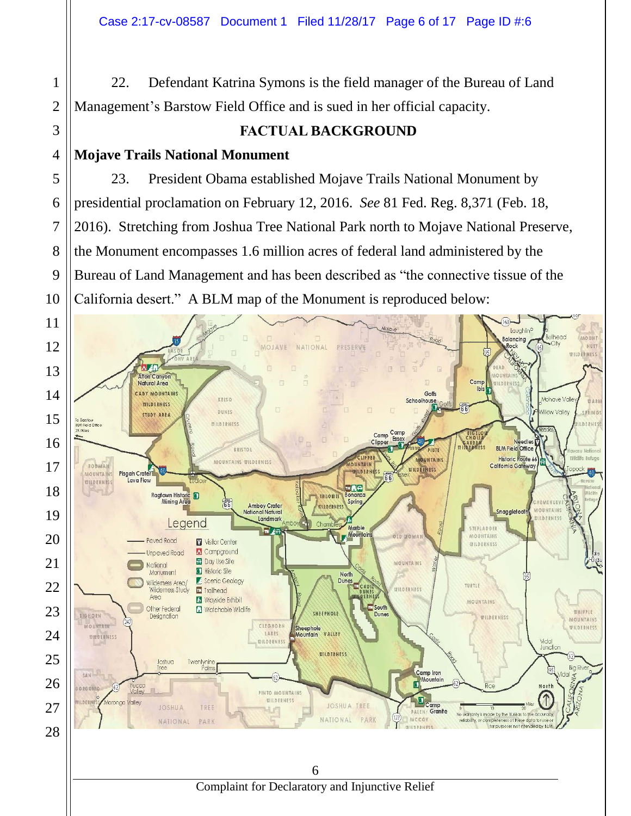22. Defendant Katrina Symons is the field manager of the Bureau of Land Management's Barstow Field Office and is sued in her official capacity.

# **FACTUAL BACKGROUND**

# **Mojave Trails National Monument**

23. President Obama established Mojave Trails National Monument by presidential proclamation on February 12, 2016. *See* 81 Fed. Reg. 8,371 (Feb. 18, 2016). Stretching from Joshua Tree National Park north to Mojave National Preserve, the Monument encompasses 1.6 million acres of federal land administered by the Bureau of Land Management and has been described as "the connective tissue of the California desert." A BLM map of the Monument is reproduced below:

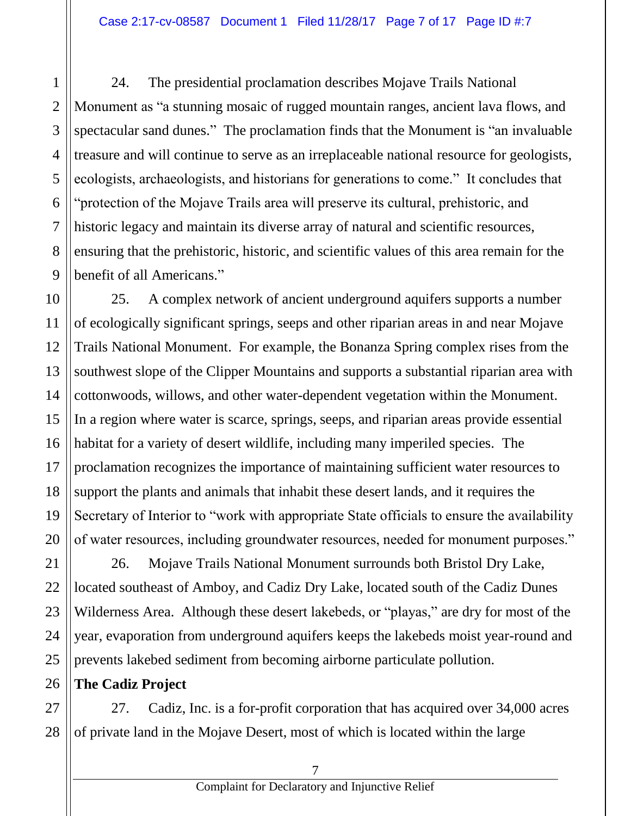24. The presidential proclamation describes Mojave Trails National Monument as "a stunning mosaic of rugged mountain ranges, ancient lava flows, and spectacular sand dunes." The proclamation finds that the Monument is "an invaluable treasure and will continue to serve as an irreplaceable national resource for geologists, ecologists, archaeologists, and historians for generations to come." It concludes that "protection of the Mojave Trails area will preserve its cultural, prehistoric, and historic legacy and maintain its diverse array of natural and scientific resources, ensuring that the prehistoric, historic, and scientific values of this area remain for the benefit of all Americans."

25. A complex network of ancient underground aquifers supports a number of ecologically significant springs, seeps and other riparian areas in and near Mojave Trails National Monument. For example, the Bonanza Spring complex rises from the southwest slope of the Clipper Mountains and supports a substantial riparian area with cottonwoods, willows, and other water-dependent vegetation within the Monument. In a region where water is scarce, springs, seeps, and riparian areas provide essential habitat for a variety of desert wildlife, including many imperiled species. The proclamation recognizes the importance of maintaining sufficient water resources to support the plants and animals that inhabit these desert lands, and it requires the Secretary of Interior to "work with appropriate State officials to ensure the availability of water resources, including groundwater resources, needed for monument purposes."

26. Mojave Trails National Monument surrounds both Bristol Dry Lake, located southeast of Amboy, and Cadiz Dry Lake, located south of the Cadiz Dunes Wilderness Area. Although these desert lakebeds, or "playas," are dry for most of the year, evaporation from underground aquifers keeps the lakebeds moist year-round and prevents lakebed sediment from becoming airborne particulate pollution.

# **The Cadiz Project**

27. Cadiz, Inc. is a for-profit corporation that has acquired over 34,000 acres of private land in the Mojave Desert, most of which is located within the large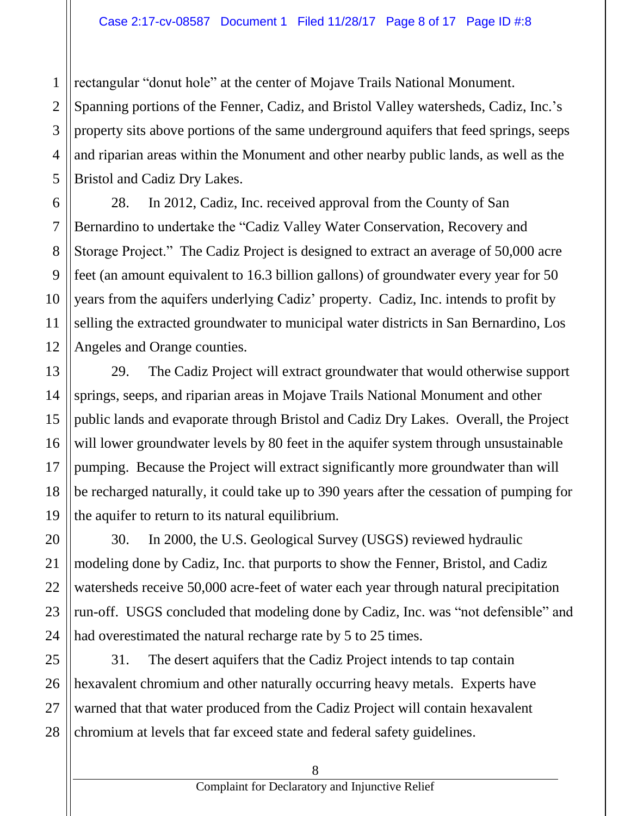rectangular "donut hole" at the center of Mojave Trails National Monument.

1

2

3

4

5

7

10

11

13

14

15

16

17

18

19

20

21

22

23

24

Spanning portions of the Fenner, Cadiz, and Bristol Valley watersheds, Cadiz, Inc.'s property sits above portions of the same underground aquifers that feed springs, seeps and riparian areas within the Monument and other nearby public lands, as well as the Bristol and Cadiz Dry Lakes.

6 8 9 12 28. In 2012, Cadiz, Inc. received approval from the County of San Bernardino to undertake the "Cadiz Valley Water Conservation, Recovery and Storage Project." The Cadiz Project is designed to extract an average of 50,000 acre feet (an amount equivalent to 16.3 billion gallons) of groundwater every year for 50 years from the aquifers underlying Cadiz' property. Cadiz, Inc. intends to profit by selling the extracted groundwater to municipal water districts in San Bernardino, Los Angeles and Orange counties.

29. The Cadiz Project will extract groundwater that would otherwise support springs, seeps, and riparian areas in Mojave Trails National Monument and other public lands and evaporate through Bristol and Cadiz Dry Lakes. Overall, the Project will lower groundwater levels by 80 feet in the aquifer system through unsustainable pumping. Because the Project will extract significantly more groundwater than will be recharged naturally, it could take up to 390 years after the cessation of pumping for the aquifer to return to its natural equilibrium.

30. In 2000, the U.S. Geological Survey (USGS) reviewed hydraulic modeling done by Cadiz, Inc. that purports to show the Fenner, Bristol, and Cadiz watersheds receive 50,000 acre-feet of water each year through natural precipitation run-off. USGS concluded that modeling done by Cadiz, Inc. was "not defensible" and had overestimated the natural recharge rate by 5 to 25 times.

25 26 27 28 31. The desert aquifers that the Cadiz Project intends to tap contain hexavalent chromium and other naturally occurring heavy metals. Experts have warned that that water produced from the Cadiz Project will contain hexavalent chromium at levels that far exceed state and federal safety guidelines.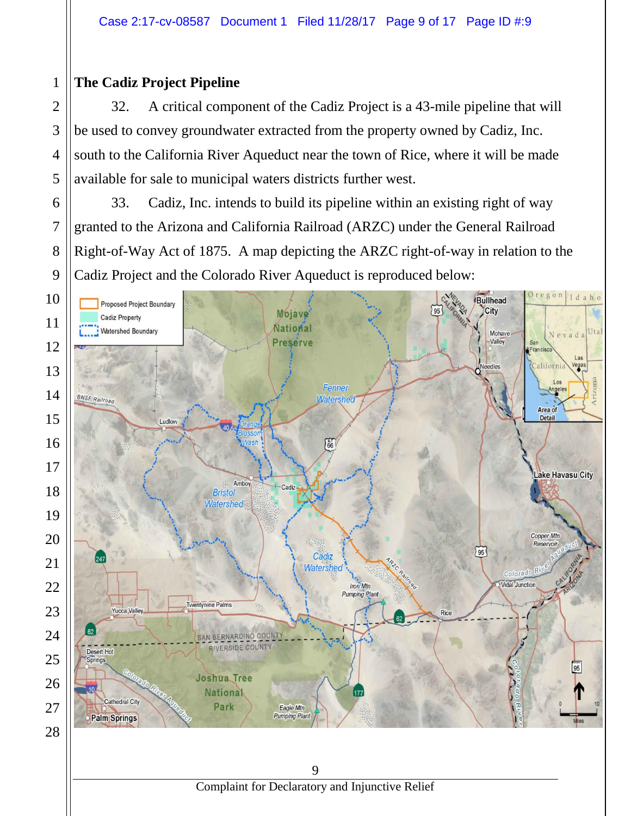# **The Cadiz Project Pipeline**

32. A critical component of the Cadiz Project is a 43-mile pipeline that will be used to convey groundwater extracted from the property owned by Cadiz, Inc. south to the California River Aqueduct near the town of Rice, where it will be made available for sale to municipal waters districts further west.

33. Cadiz, Inc. intends to build its pipeline within an existing right of way granted to the Arizona and California Railroad (ARZC) under the General Railroad Right-of-Way Act of 1875. A map depicting the ARZC right-of-way in relation to the Cadiz Project and the Colorado River Aqueduct is reproduced below:

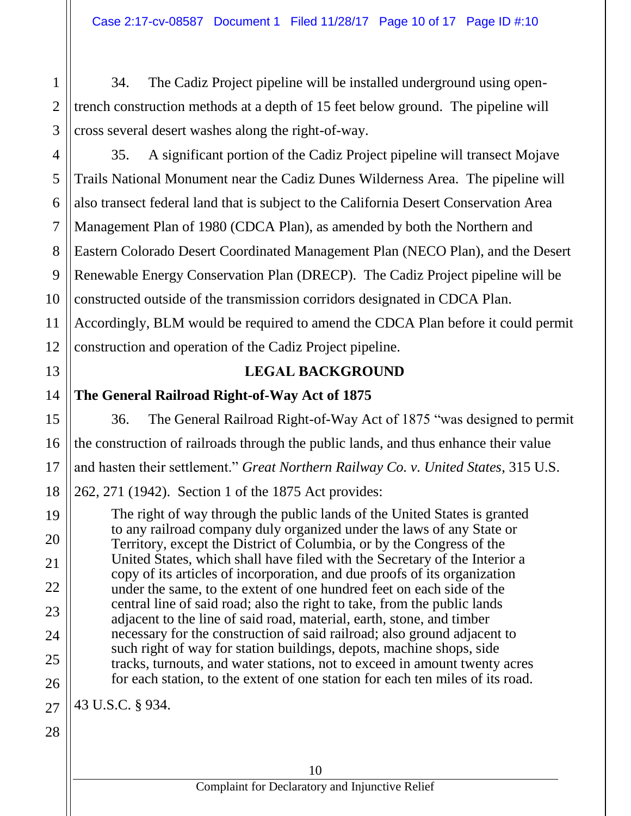34. The Cadiz Project pipeline will be installed underground using opentrench construction methods at a depth of 15 feet below ground. The pipeline will cross several desert washes along the right-of-way.

4 12 35. A significant portion of the Cadiz Project pipeline will transect Mojave Trails National Monument near the Cadiz Dunes Wilderness Area. The pipeline will also transect federal land that is subject to the California Desert Conservation Area Management Plan of 1980 (CDCA Plan), as amended by both the Northern and Eastern Colorado Desert Coordinated Management Plan (NECO Plan), and the Desert Renewable Energy Conservation Plan (DRECP). The Cadiz Project pipeline will be constructed outside of the transmission corridors designated in CDCA Plan. Accordingly, BLM would be required to amend the CDCA Plan before it could permit construction and operation of the Cadiz Project pipeline.

# **LEGAL BACKGROUND**

**The General Railroad Right-of-Way Act of 1875**

36. The General Railroad Right-of-Way Act of 1875 "was designed to permit the construction of railroads through the public lands, and thus enhance their value and hasten their settlement." *Great Northern Railway Co. v. United States*, 315 U.S.

262, 271 (1942). Section 1 of the 1875 Act provides:

The right of way through the public lands of the United States is granted to any railroad company duly organized under the laws of any State or Territory, except the District of Columbia, or by the Congress of the United States, which shall have filed with the Secretary of the Interior a copy of its articles of incorporation, and due proofs of its organization under the same, to the extent of one hundred feet on each side of the central line of said road; also the right to take, from the public lands adjacent to the line of said road, material, earth, stone, and timber necessary for the construction of said railroad; also ground adjacent to such right of way for station buildings, depots, machine shops, side tracks, turnouts, and water stations, not to exceed in amount twenty acres for each station, to the extent of one station for each ten miles of its road.

27 43 U.S.C. § 934.

28

1

2

3

5

6

7

8

9

10

11

13

14

15

16

17

18

19

20

21

22

23

24

25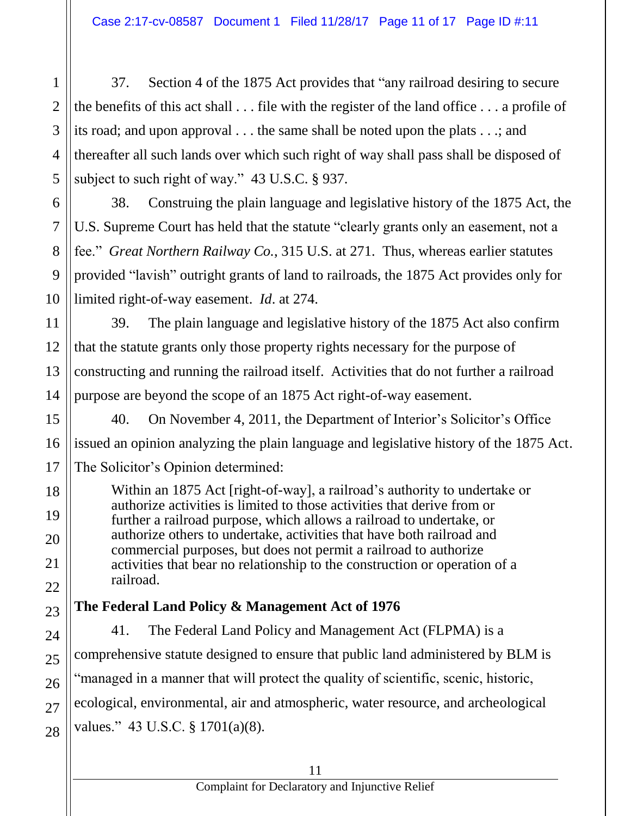37. Section 4 of the 1875 Act provides that "any railroad desiring to secure the benefits of this act shall . . . file with the register of the land office . . . a profile of its road; and upon approval . . . the same shall be noted upon the plats . . .; and thereafter all such lands over which such right of way shall pass shall be disposed of subject to such right of way." 43 U.S.C. § 937.

38. Construing the plain language and legislative history of the 1875 Act, the U.S. Supreme Court has held that the statute "clearly grants only an easement, not a fee." *Great Northern Railway Co.*, 315 U.S. at 271. Thus, whereas earlier statutes provided "lavish" outright grants of land to railroads, the 1875 Act provides only for limited right-of-way easement. *Id*. at 274.

39. The plain language and legislative history of the 1875 Act also confirm that the statute grants only those property rights necessary for the purpose of constructing and running the railroad itself. Activities that do not further a railroad purpose are beyond the scope of an 1875 Act right-of-way easement.

40. On November 4, 2011, the Department of Interior's Solicitor's Office issued an opinion analyzing the plain language and legislative history of the 1875 Act. The Solicitor's Opinion determined:

Within an 1875 Act [right-of-way], a railroad's authority to undertake or authorize activities is limited to those activities that derive from or further a railroad purpose, which allows a railroad to undertake, or authorize others to undertake, activities that have both railroad and commercial purposes, but does not permit a railroad to authorize activities that bear no relationship to the construction or operation of a railroad.

# **The Federal Land Policy & Management Act of 1976**

41. The Federal Land Policy and Management Act (FLPMA) is a comprehensive statute designed to ensure that public land administered by BLM is "managed in a manner that will protect the quality of scientific, scenic, historic, ecological, environmental, air and atmospheric, water resource, and archeological values." 43 U.S.C. § 1701(a)(8).

1

2

3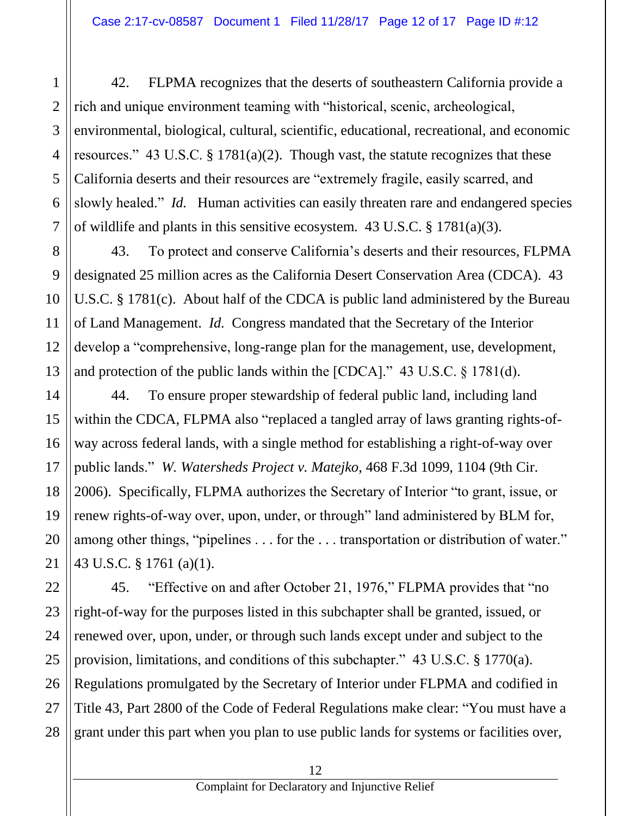42. FLPMA recognizes that the deserts of southeastern California provide a rich and unique environment teaming with "historical, scenic, archeological, environmental, biological, cultural, scientific, educational, recreational, and economic resources." 43 U.S.C.  $\S 1781(a)(2)$ . Though vast, the statute recognizes that these California deserts and their resources are "extremely fragile, easily scarred, and slowly healed." *Id.* Human activities can easily threaten rare and endangered species of wildlife and plants in this sensitive ecosystem. 43 U.S.C. § 1781(a)(3).

43. To protect and conserve California's deserts and their resources, FLPMA designated 25 million acres as the California Desert Conservation Area (CDCA). 43 U.S.C. § 1781(c). About half of the CDCA is public land administered by the Bureau of Land Management. *Id.* Congress mandated that the Secretary of the Interior develop a "comprehensive, long-range plan for the management, use, development, and protection of the public lands within the [CDCA]." 43 U.S.C. § 1781(d).

44. To ensure proper stewardship of federal public land, including land within the CDCA, FLPMA also "replaced a tangled array of laws granting rights-ofway across federal lands, with a single method for establishing a right-of-way over public lands." *W. Watersheds Project v. Matejko*, 468 F.3d 1099, 1104 (9th Cir. 2006). Specifically, FLPMA authorizes the Secretary of Interior "to grant, issue, or renew rights-of-way over, upon, under, or through" land administered by BLM for, among other things, "pipelines . . . for the . . . transportation or distribution of water." 43 U.S.C. § 1761 (a)(1).

28 45. "Effective on and after October 21, 1976," FLPMA provides that "no right-of-way for the purposes listed in this subchapter shall be granted, issued, or renewed over, upon, under, or through such lands except under and subject to the provision, limitations, and conditions of this subchapter." 43 U.S.C. § 1770(a). Regulations promulgated by the Secretary of Interior under FLPMA and codified in Title 43, Part 2800 of the Code of Federal Regulations make clear: "You must have a grant under this part when you plan to use public lands for systems or facilities over,

1

2

3

4

5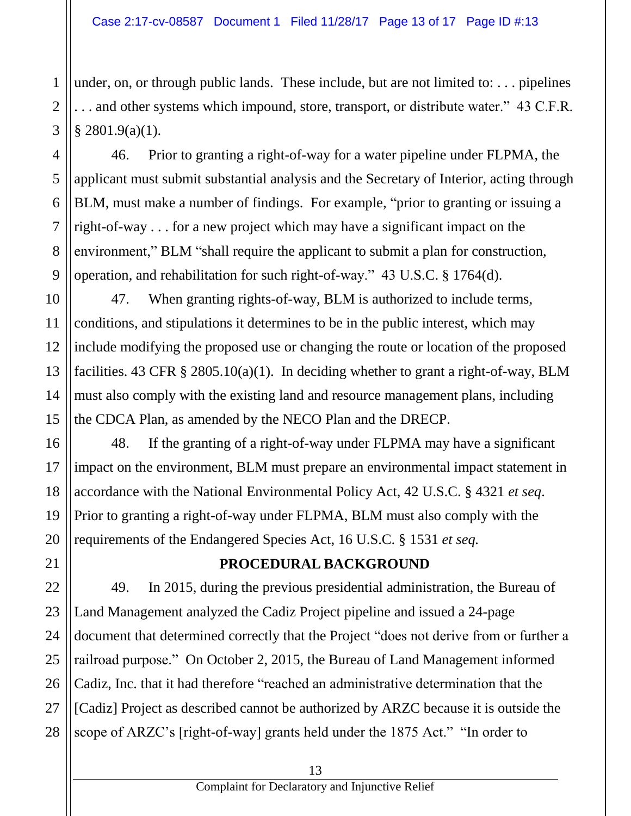under, on, or through public lands. These include, but are not limited to: . . . pipelines . . . and other systems which impound, store, transport, or distribute water." 43 C.F.R.  $§$  2801.9(a)(1).

46. Prior to granting a right-of-way for a water pipeline under FLPMA, the applicant must submit substantial analysis and the Secretary of Interior, acting through BLM, must make a number of findings. For example, "prior to granting or issuing a right-of-way . . . for a new project which may have a significant impact on the environment," BLM "shall require the applicant to submit a plan for construction, operation, and rehabilitation for such right-of-way." 43 U.S.C. § 1764(d).

47. When granting rights-of-way, BLM is authorized to include terms, conditions, and stipulations it determines to be in the public interest, which may include modifying the proposed use or changing the route or location of the proposed facilities. 43 CFR  $\S 2805.10(a)(1)$ . In deciding whether to grant a right-of-way, BLM must also comply with the existing land and resource management plans, including the CDCA Plan, as amended by the NECO Plan and the DRECP.

48. If the granting of a right-of-way under FLPMA may have a significant impact on the environment, BLM must prepare an environmental impact statement in accordance with the National Environmental Policy Act, 42 U.S.C. § 4321 *et seq*. Prior to granting a right-of-way under FLPMA, BLM must also comply with the requirements of the Endangered Species Act, 16 U.S.C. § 1531 *et seq.*

# **PROCEDURAL BACKGROUND**

49. In 2015, during the previous presidential administration, the Bureau of Land Management analyzed the Cadiz Project pipeline and issued a 24-page document that determined correctly that the Project "does not derive from or further a railroad purpose." On October 2, 2015, the Bureau of Land Management informed Cadiz, Inc. that it had therefore "reached an administrative determination that the [Cadiz] Project as described cannot be authorized by ARZC because it is outside the scope of ARZC's [right-of-way] grants held under the 1875 Act." "In order to

1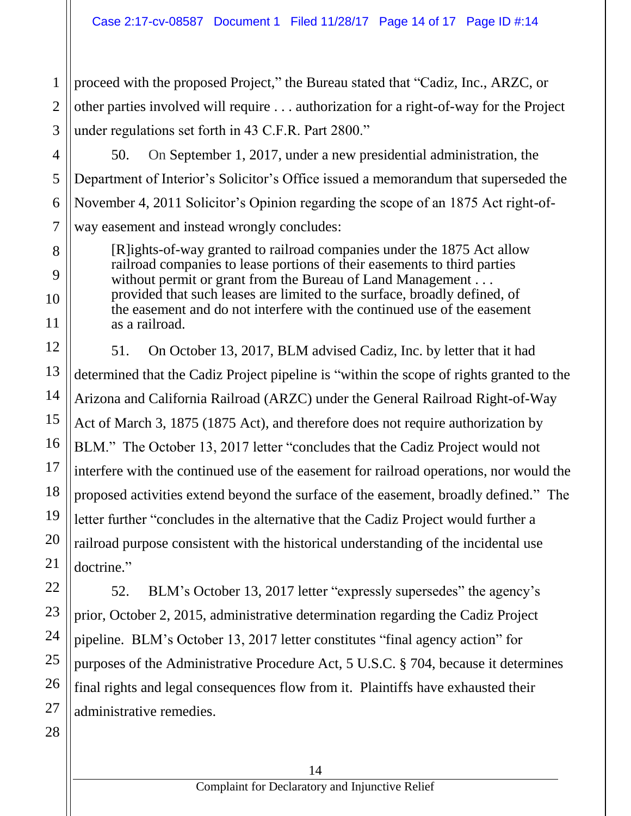proceed with the proposed Project," the Bureau stated that "Cadiz, Inc., ARZC, or other parties involved will require . . . authorization for a right-of-way for the Project under regulations set forth in 43 C.F.R. Part 2800."

50. On September 1, 2017, under a new presidential administration, the Department of Interior's Solicitor's Office issued a memorandum that superseded the November 4, 2011 Solicitor's Opinion regarding the scope of an 1875 Act right-ofway easement and instead wrongly concludes:

[R]ights-of-way granted to railroad companies under the 1875 Act allow railroad companies to lease portions of their easements to third parties without permit or grant from the Bureau of Land Management . . . provided that such leases are limited to the surface, broadly defined, of the easement and do not interfere with the continued use of the easement as a railroad.

51. On October 13, 2017, BLM advised Cadiz, Inc. by letter that it had determined that the Cadiz Project pipeline is "within the scope of rights granted to the Arizona and California Railroad (ARZC) under the General Railroad Right-of-Way Act of March 3, 1875 (1875 Act), and therefore does not require authorization by BLM." The October 13, 2017 letter "concludes that the Cadiz Project would not interfere with the continued use of the easement for railroad operations, nor would the proposed activities extend beyond the surface of the easement, broadly defined." The letter further "concludes in the alternative that the Cadiz Project would further a railroad purpose consistent with the historical understanding of the incidental use doctrine."

52. BLM's October 13, 2017 letter "expressly supersedes" the agency's prior, October 2, 2015, administrative determination regarding the Cadiz Project pipeline. BLM's October 13, 2017 letter constitutes "final agency action" for purposes of the Administrative Procedure Act, 5 U.S.C. § 704, because it determines final rights and legal consequences flow from it. Plaintiffs have exhausted their administrative remedies.

1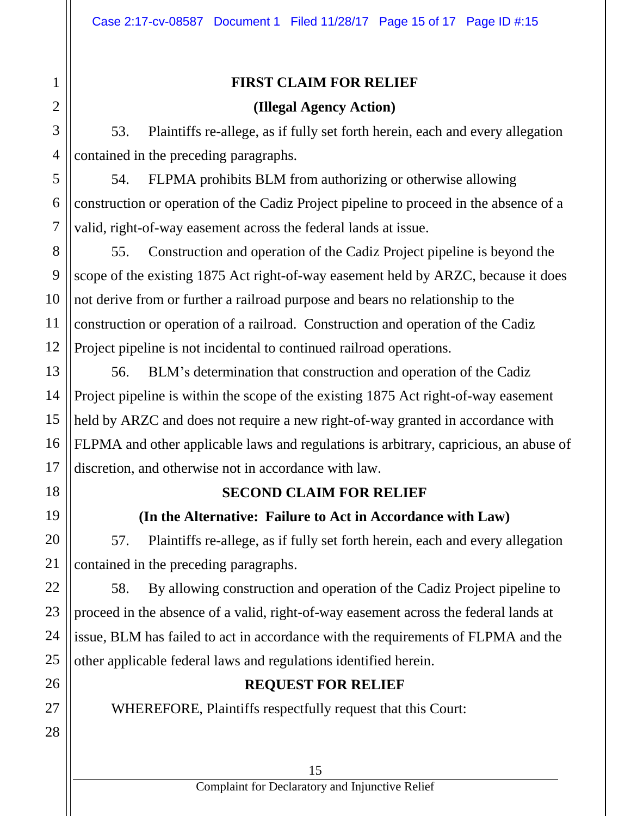### **FIRST CLAIM FOR RELIEF**

### **(Illegal Agency Action)**

53. Plaintiffs re-allege, as if fully set forth herein, each and every allegation contained in the preceding paragraphs.

54. FLPMA prohibits BLM from authorizing or otherwise allowing construction or operation of the Cadiz Project pipeline to proceed in the absence of a valid, right-of-way easement across the federal lands at issue.

8 9 10 12 55. Construction and operation of the Cadiz Project pipeline is beyond the scope of the existing 1875 Act right-of-way easement held by ARZC, because it does not derive from or further a railroad purpose and bears no relationship to the construction or operation of a railroad. Construction and operation of the Cadiz Project pipeline is not incidental to continued railroad operations.

56. BLM's determination that construction and operation of the Cadiz Project pipeline is within the scope of the existing 1875 Act right-of-way easement held by ARZC and does not require a new right-of-way granted in accordance with FLPMA and other applicable laws and regulations is arbitrary, capricious, an abuse of discretion, and otherwise not in accordance with law.

# **SECOND CLAIM FOR RELIEF**

# **(In the Alternative: Failure to Act in Accordance with Law)**

57. Plaintiffs re-allege, as if fully set forth herein, each and every allegation contained in the preceding paragraphs.

58. By allowing construction and operation of the Cadiz Project pipeline to proceed in the absence of a valid, right-of-way easement across the federal lands at issue, BLM has failed to act in accordance with the requirements of FLPMA and the other applicable federal laws and regulations identified herein.

# **REQUEST FOR RELIEF**

WHEREFORE, Plaintiffs respectfully request that this Court:

1

2

3

4

5

6

7

11

13

14

15

16

17

18

19

20

21

22

23

24

25

26

27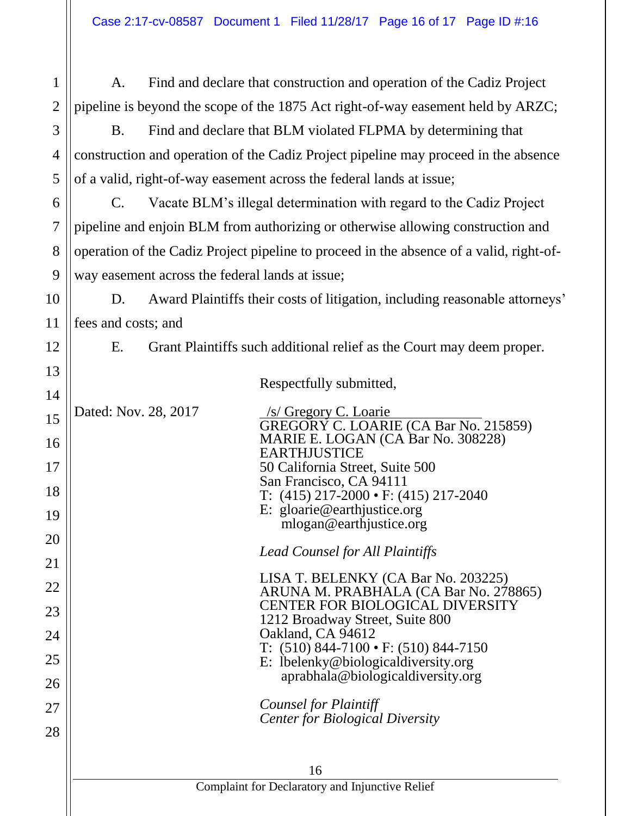A. Find and declare that construction and operation of the Cadiz Project pipeline is beyond the scope of the 1875 Act right-of-way easement held by ARZC;

B. Find and declare that BLM violated FLPMA by determining that construction and operation of the Cadiz Project pipeline may proceed in the absence of a valid, right-of-way easement across the federal lands at issue;

C. Vacate BLM's illegal determination with regard to the Cadiz Project pipeline and enjoin BLM from authorizing or otherwise allowing construction and operation of the Cadiz Project pipeline to proceed in the absence of a valid, right-ofway easement across the federal lands at issue;

D. Award Plaintiffs their costs of litigation, including reasonable attorneys' fees and costs; and

1

2

3

4

5

6

7

8

9

10

11

12

13

14

15

16

17

18

19

20

21

22

23

24

25

26

27

28

E. Grant Plaintiffs such additional relief as the Court may deem proper.

Respectfully submitted,

Dated: Nov. 28, 2017 /s/ Gregory C. Loarie GREGORY C. LOARIE (CA Bar No. 215859) MARIE E. LOGAN (CA Bar No. 308228) EARTHJUSTICE 50 California Street, Suite 500 San Francisco, CA 94111 T: (415) 217-2000 • F: (415) 217-2040 E: gloarie@earthjustice.org mlogan@earthjustice.org

*Lead Counsel for All Plaintiffs*

| LISA T. BELENKY (CA Bar No. 203225)                                      |
|--------------------------------------------------------------------------|
| ARUNA M. PRABHALA (CA Bar No. 278865)                                    |
| <b>CENTER FOR BIOLOGICAL DIVERSITY</b>                                   |
| 1212 Broadway Street, Suite 800                                          |
| Oakland, CA 94612                                                        |
| T: $(510) 844 - 7100 \cdot F$ : $(510) 844 - 7150$                       |
| E: lbelenky@biologicaldiversity.org<br>aprabhala@biologicaldiversity.org |
|                                                                          |
|                                                                          |

*Counsel for Plaintiff Center for Biological Diversity*